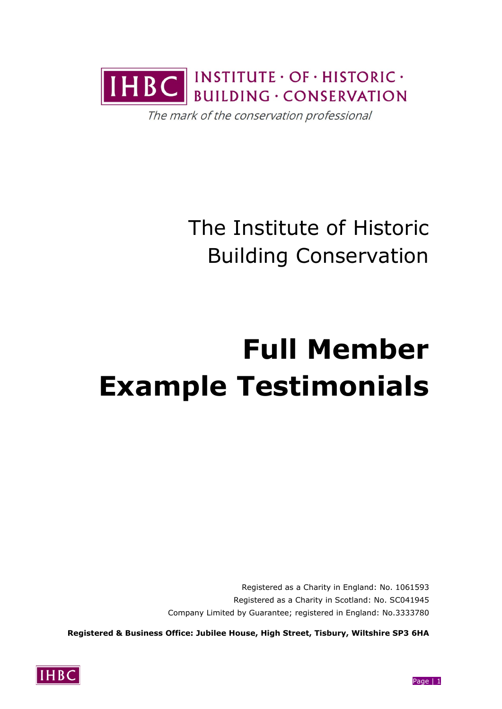

The mark of the conservation professional

The Institute of Historic Building Conservation

# **Full Member Example Testimonials**

Registered as a Charity in England: No. 1061593 Registered as a Charity in Scotland: No. SC041945 Company Limited by Guarantee; registered in England: No.3333780

**Registered & Business Office: Jubilee House, High Street, Tisbury, Wiltshire SP3 6HA**

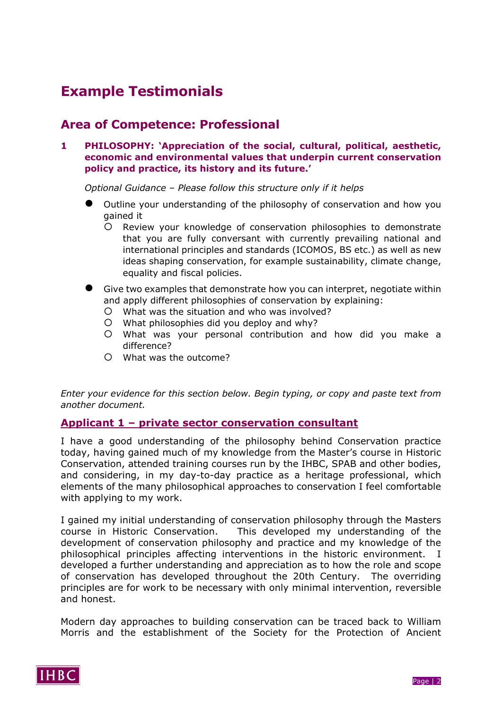## **Example Testimonials**

## **Area of Competence: Professional**

**1 PHILOSOPHY: 'Appreciation of the social, cultural, political, aesthetic, economic and environmental values that underpin current conservation policy and practice, its history and its future.'**

*Optional Guidance – Please follow this structure only if it helps*

- Outline your understanding of the philosophy of conservation and how you gained it
	- Review your knowledge of conservation philosophies to demonstrate that you are fully conversant with currently prevailing national and international principles and standards (ICOMOS, BS etc.) as well as new ideas shaping conservation, for example sustainability, climate change, equality and fiscal policies.
- Give two examples that demonstrate how you can interpret, negotiate within and apply different philosophies of conservation by explaining:
	- What was the situation and who was involved?
	- What philosophies did you deploy and why?
	- What was your personal contribution and how did you make a difference?
	- What was the outcome?

*Enter your evidence for this section below. Begin typing, or copy and paste text from another document.*

#### **Applicant 1 – private sector conservation consultant**

I have a good understanding of the philosophy behind Conservation practice today, having gained much of my knowledge from the Master's course in Historic Conservation, attended training courses run by the IHBC, SPAB and other bodies, and considering, in my day-to-day practice as a heritage professional, which elements of the many philosophical approaches to conservation I feel comfortable with applying to my work.

I gained my initial understanding of conservation philosophy through the Masters course in Historic Conservation. This developed my understanding of the development of conservation philosophy and practice and my knowledge of the philosophical principles affecting interventions in the historic environment. I developed a further understanding and appreciation as to how the role and scope of conservation has developed throughout the 20th Century. The overriding principles are for work to be necessary with only minimal intervention, reversible and honest.

Modern day approaches to building conservation can be traced back to William Morris and the establishment of the Society for the Protection of Ancient

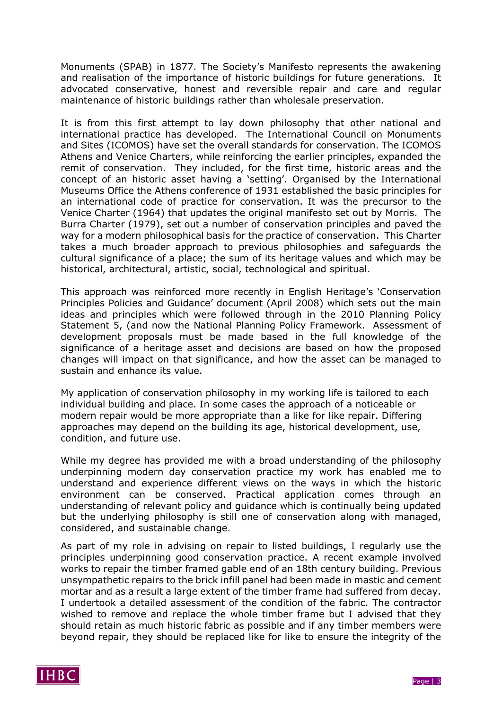Monuments (SPAB) in 1877. The Society's Manifesto represents the awakening and realisation of the importance of historic buildings for future generations. It advocated conservative, honest and reversible repair and care and regular maintenance of historic buildings rather than wholesale preservation.

It is from this first attempt to lay down philosophy that other national and international practice has developed. The International Council on Monuments and Sites (ICOMOS) have set the overall standards for conservation. The ICOMOS Athens and Venice Charters, while reinforcing the earlier principles, expanded the remit of conservation. They included, for the first time, historic areas and the concept of an historic asset having a 'setting'. Organised by the International Museums Office the Athens conference of 1931 established the basic principles for an international code of practice for conservation. It was the precursor to the Venice Charter (1964) that updates the original manifesto set out by Morris. The Burra Charter (1979), set out a number of conservation principles and paved the way for a modern philosophical basis for the practice of conservation. This Charter takes a much broader approach to previous philosophies and safeguards the cultural significance of a place; the sum of its heritage values and which may be historical, architectural, artistic, social, technological and spiritual.

This approach was reinforced more recently in English Heritage's 'Conservation Principles Policies and Guidance' document (April 2008) which sets out the main ideas and principles which were followed through in the 2010 Planning Policy Statement 5, (and now the National Planning Policy Framework. Assessment of development proposals must be made based in the full knowledge of the significance of a heritage asset and decisions are based on how the proposed changes will impact on that significance, and how the asset can be managed to sustain and enhance its value.

My application of conservation philosophy in my working life is tailored to each individual building and place. In some cases the approach of a noticeable or modern repair would be more appropriate than a like for like repair. Differing approaches may depend on the building its age, historical development, use, condition, and future use.

While my degree has provided me with a broad understanding of the philosophy underpinning modern day conservation practice my work has enabled me to understand and experience different views on the ways in which the historic environment can be conserved. Practical application comes through an understanding of relevant policy and guidance which is continually being updated but the underlying philosophy is still one of conservation along with managed, considered, and sustainable change.

As part of my role in advising on repair to listed buildings, I regularly use the principles underpinning good conservation practice. A recent example involved works to repair the timber framed gable end of an 18th century building. Previous unsympathetic repairs to the brick infill panel had been made in mastic and cement mortar and as a result a large extent of the timber frame had suffered from decay. I undertook a detailed assessment of the condition of the fabric. The contractor wished to remove and replace the whole timber frame but I advised that they should retain as much historic fabric as possible and if any timber members were beyond repair, they should be replaced like for like to ensure the integrity of the

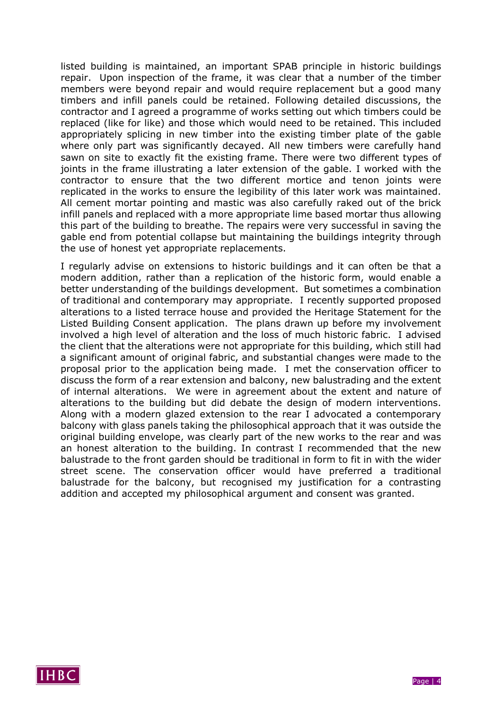listed building is maintained, an important SPAB principle in historic buildings repair. Upon inspection of the frame, it was clear that a number of the timber members were beyond repair and would require replacement but a good many timbers and infill panels could be retained. Following detailed discussions, the contractor and I agreed a programme of works setting out which timbers could be replaced (like for like) and those which would need to be retained. This included appropriately splicing in new timber into the existing timber plate of the gable where only part was significantly decayed. All new timbers were carefully hand sawn on site to exactly fit the existing frame. There were two different types of joints in the frame illustrating a later extension of the gable. I worked with the contractor to ensure that the two different mortice and tenon joints were replicated in the works to ensure the legibility of this later work was maintained. All cement mortar pointing and mastic was also carefully raked out of the brick infill panels and replaced with a more appropriate lime based mortar thus allowing this part of the building to breathe. The repairs were very successful in saving the gable end from potential collapse but maintaining the buildings integrity through the use of honest yet appropriate replacements.

I regularly advise on extensions to historic buildings and it can often be that a modern addition, rather than a replication of the historic form, would enable a better understanding of the buildings development. But sometimes a combination of traditional and contemporary may appropriate. I recently supported proposed alterations to a listed terrace house and provided the Heritage Statement for the Listed Building Consent application. The plans drawn up before my involvement involved a high level of alteration and the loss of much historic fabric. I advised the client that the alterations were not appropriate for this building, which still had a significant amount of original fabric, and substantial changes were made to the proposal prior to the application being made. I met the conservation officer to discuss the form of a rear extension and balcony, new balustrading and the extent of internal alterations. We were in agreement about the extent and nature of alterations to the building but did debate the design of modern interventions. Along with a modern glazed extension to the rear I advocated a contemporary balcony with glass panels taking the philosophical approach that it was outside the original building envelope, was clearly part of the new works to the rear and was an honest alteration to the building. In contrast I recommended that the new balustrade to the front garden should be traditional in form to fit in with the wider street scene. The conservation officer would have preferred a traditional balustrade for the balcony, but recognised my justification for a contrasting addition and accepted my philosophical argument and consent was granted.

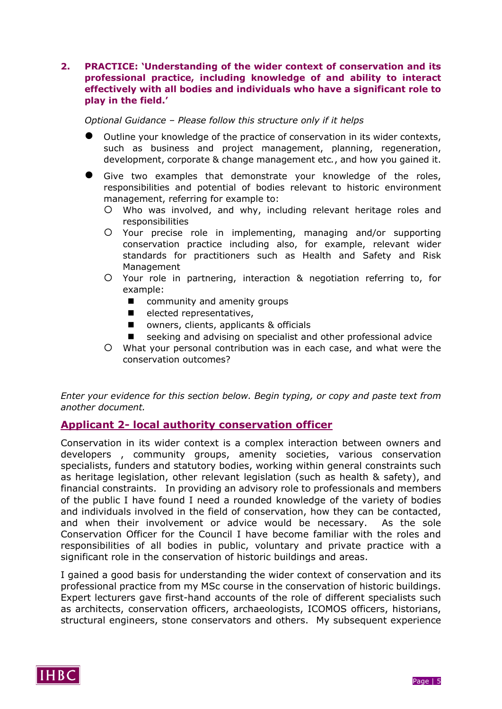#### **2. PRACTICE: 'Understanding of the wider context of conservation and its professional practice, including knowledge of and ability to interact effectively with all bodies and individuals who have a significant role to play in the field.'**

*Optional Guidance – Please follow this structure only if it helps*

- Outline your knowledge of the practice of conservation in its wider contexts, such as business and project management, planning, regeneration, development, corporate & change management etc*.*, and how you gained it.
- Give two examples that demonstrate your knowledge of the roles, responsibilities and potential of bodies relevant to historic environment management, referring for example to:
	- Who was involved, and why, including relevant heritage roles and responsibilities
	- Your precise role in implementing, managing and/or supporting conservation practice including also, for example, relevant wider standards for practitioners such as Health and Safety and Risk Management
	- Your role in partnering, interaction & negotiation referring to, for example:
		- community and amenity groups
		- $\blacksquare$  elected representatives,
		- owners, clients, applicants & officials
		- seeking and advising on specialist and other professional advice
	- What your personal contribution was in each case, and what were the conservation outcomes?

*Enter your evidence for this section below. Begin typing, or copy and paste text from another document.*

#### **Applicant 2- local authority conservation officer**

Conservation in its wider context is a complex interaction between owners and developers , community groups, amenity societies, various conservation specialists, funders and statutory bodies, working within general constraints such as heritage legislation, other relevant legislation (such as health & safety), and financial constraints. In providing an advisory role to professionals and members of the public I have found I need a rounded knowledge of the variety of bodies and individuals involved in the field of conservation, how they can be contacted, and when their involvement or advice would be necessary. As the sole Conservation Officer for the Council I have become familiar with the roles and responsibilities of all bodies in public, voluntary and private practice with a significant role in the conservation of historic buildings and areas.

I gained a good basis for understanding the wider context of conservation and its professional practice from my MSc course in the conservation of historic buildings. Expert lecturers gave first-hand accounts of the role of different specialists such as architects, conservation officers, archaeologists, ICOMOS officers, historians, structural engineers, stone conservators and others. My subsequent experience

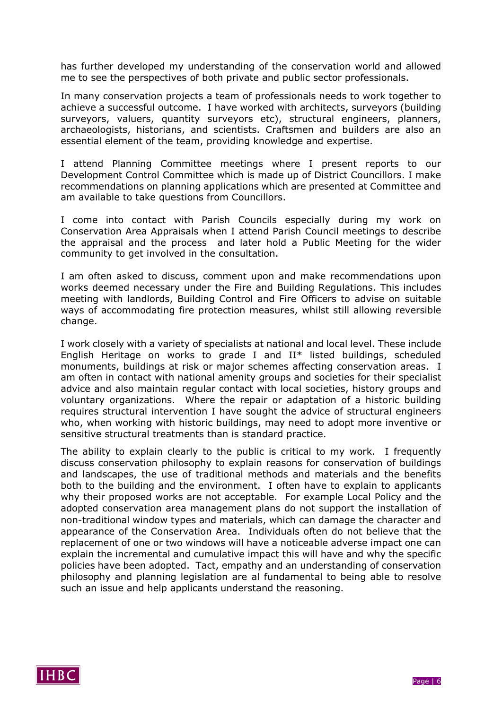has further developed my understanding of the conservation world and allowed me to see the perspectives of both private and public sector professionals.

In many conservation projects a team of professionals needs to work together to achieve a successful outcome. I have worked with architects, surveyors (building surveyors, valuers, quantity surveyors etc), structural engineers, planners, archaeologists, historians, and scientists. Craftsmen and builders are also an essential element of the team, providing knowledge and expertise.

I attend Planning Committee meetings where I present reports to our Development Control Committee which is made up of District Councillors. I make recommendations on planning applications which are presented at Committee and am available to take questions from Councillors.

I come into contact with Parish Councils especially during my work on Conservation Area Appraisals when I attend Parish Council meetings to describe the appraisal and the process and later hold a Public Meeting for the wider community to get involved in the consultation.

I am often asked to discuss, comment upon and make recommendations upon works deemed necessary under the Fire and Building Regulations. This includes meeting with landlords, Building Control and Fire Officers to advise on suitable ways of accommodating fire protection measures, whilst still allowing reversible change.

I work closely with a variety of specialists at national and local level. These include English Heritage on works to grade I and II\* listed buildings, scheduled monuments, buildings at risk or major schemes affecting conservation areas. I am often in contact with national amenity groups and societies for their specialist advice and also maintain regular contact with local societies, history groups and voluntary organizations. Where the repair or adaptation of a historic building requires structural intervention I have sought the advice of structural engineers who, when working with historic buildings, may need to adopt more inventive or sensitive structural treatments than is standard practice.

The ability to explain clearly to the public is critical to my work. I frequently discuss conservation philosophy to explain reasons for conservation of buildings and landscapes, the use of traditional methods and materials and the benefits both to the building and the environment. I often have to explain to applicants why their proposed works are not acceptable. For example Local Policy and the adopted conservation area management plans do not support the installation of non-traditional window types and materials, which can damage the character and appearance of the Conservation Area. Individuals often do not believe that the replacement of one or two windows will have a noticeable adverse impact one can explain the incremental and cumulative impact this will have and why the specific policies have been adopted. Tact, empathy and an understanding of conservation philosophy and planning legislation are al fundamental to being able to resolve such an issue and help applicants understand the reasoning.

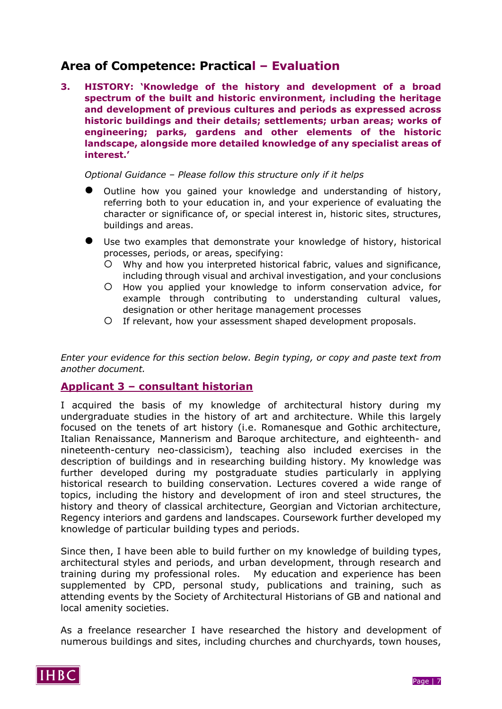## **Area of Competence: Practical – Evaluation**

**3. HISTORY: 'Knowledge of the history and development of a broad spectrum of the built and historic environment, including the heritage and development of previous cultures and periods as expressed across historic buildings and their details; settlements; urban areas; works of engineering; parks, gardens and other elements of the historic landscape, alongside more detailed knowledge of any specialist areas of interest.'**

*Optional Guidance – Please follow this structure only if it helps*

- Outline how you gained your knowledge and understanding of history, referring both to your education in, and your experience of evaluating the character or significance of, or special interest in, historic sites, structures, buildings and areas.
- Use two examples that demonstrate your knowledge of history, historical processes, periods, or areas, specifying:
	- Why and how you interpreted historical fabric, values and significance, including through visual and archival investigation, and your conclusions
	- How you applied your knowledge to inform conservation advice, for example through contributing to understanding cultural values, designation or other heritage management processes
	- If relevant, how your assessment shaped development proposals.

*Enter your evidence for this section below. Begin typing, or copy and paste text from another document.*

## **Applicant 3 – consultant historian**

I acquired the basis of my knowledge of architectural history during my undergraduate studies in the history of art and architecture. While this largely focused on the tenets of art history (i.e. Romanesque and Gothic architecture, Italian Renaissance, Mannerism and Baroque architecture, and eighteenth- and nineteenth-century neo-classicism), teaching also included exercises in the description of buildings and in researching building history. My knowledge was further developed during my postgraduate studies particularly in applying historical research to building conservation. Lectures covered a wide range of topics, including the history and development of iron and steel structures, the history and theory of classical architecture, Georgian and Victorian architecture, Regency interiors and gardens and landscapes. Coursework further developed my knowledge of particular building types and periods.

Since then, I have been able to build further on my knowledge of building types, architectural styles and periods, and urban development, through research and training during my professional roles. My education and experience has been supplemented by CPD, personal study, publications and training, such as attending events by the Society of Architectural Historians of GB and national and local amenity societies.

As a freelance researcher I have researched the history and development of numerous buildings and sites, including churches and churchyards, town houses,

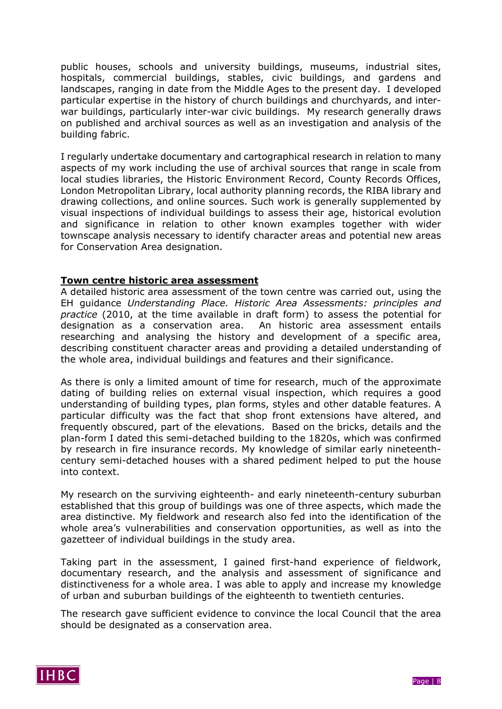public houses, schools and university buildings, museums, industrial sites, hospitals, commercial buildings, stables, civic buildings, and gardens and landscapes, ranging in date from the Middle Ages to the present day. I developed particular expertise in the history of church buildings and churchyards, and interwar buildings, particularly inter-war civic buildings. My research generally draws on published and archival sources as well as an investigation and analysis of the building fabric.

I regularly undertake documentary and cartographical research in relation to many aspects of my work including the use of archival sources that range in scale from local studies libraries, the Historic Environment Record, County Records Offices, London Metropolitan Library, local authority planning records, the RIBA library and drawing collections, and online sources. Such work is generally supplemented by visual inspections of individual buildings to assess their age, historical evolution and significance in relation to other known examples together with wider townscape analysis necessary to identify character areas and potential new areas for Conservation Area designation.

#### **Town centre historic area assessment**

A detailed historic area assessment of the town centre was carried out, using the EH guidance *Understanding Place. Historic Area Assessments: principles and practice* (2010, at the time available in draft form) to assess the potential for designation as a conservation area. An historic area assessment entails researching and analysing the history and development of a specific area, describing constituent character areas and providing a detailed understanding of the whole area, individual buildings and features and their significance.

As there is only a limited amount of time for research, much of the approximate dating of building relies on external visual inspection, which requires a good understanding of building types, plan forms, styles and other datable features. A particular difficulty was the fact that shop front extensions have altered, and frequently obscured, part of the elevations. Based on the bricks, details and the plan-form I dated this semi-detached building to the 1820s, which was confirmed by research in fire insurance records. My knowledge of similar early nineteenthcentury semi-detached houses with a shared pediment helped to put the house into context.

My research on the surviving eighteenth- and early nineteenth-century suburban established that this group of buildings was one of three aspects, which made the area distinctive. My fieldwork and research also fed into the identification of the whole area's vulnerabilities and conservation opportunities, as well as into the gazetteer of individual buildings in the study area.

Taking part in the assessment, I gained first-hand experience of fieldwork, documentary research, and the analysis and assessment of significance and distinctiveness for a whole area. I was able to apply and increase my knowledge of urban and suburban buildings of the eighteenth to twentieth centuries.

The research gave sufficient evidence to convince the local Council that the area should be designated as a conservation area.

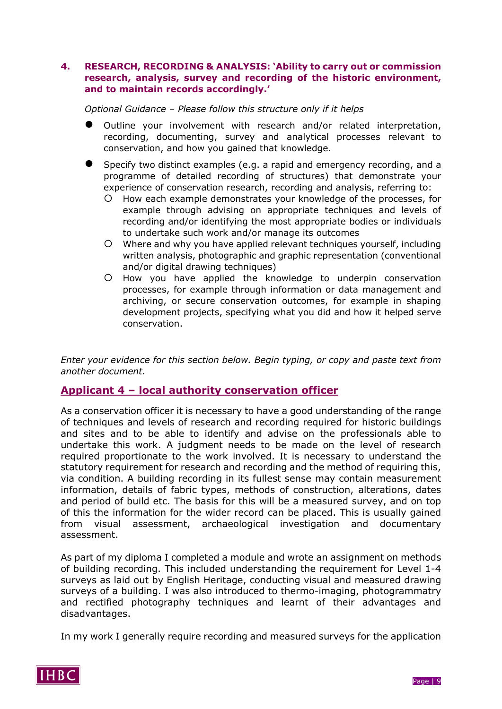#### **4. RESEARCH, RECORDING & ANALYSIS: 'Ability to carry out or commission research, analysis, survey and recording of the historic environment, and to maintain records accordingly.'**

#### *Optional Guidance – Please follow this structure only if it helps*

- Outline your involvement with research and/or related interpretation, recording, documenting, survey and analytical processes relevant to conservation, and how you gained that knowledge.
- Specify two distinct examples (e.g. a rapid and emergency recording, and a programme of detailed recording of structures) that demonstrate your experience of conservation research, recording and analysis, referring to:
	- O How each example demonstrates your knowledge of the processes, for example through advising on appropriate techniques and levels of recording and/or identifying the most appropriate bodies or individuals to undertake such work and/or manage its outcomes
	- Where and why you have applied relevant techniques yourself, including written analysis, photographic and graphic representation (conventional and/or digital drawing techniques)
	- $O$  How you have applied the knowledge to underpin conservation processes, for example through information or data management and archiving, or secure conservation outcomes, for example in shaping development projects, specifying what you did and how it helped serve conservation.

*Enter your evidence for this section below. Begin typing, or copy and paste text from another document.*

#### **Applicant 4 – local authority conservation officer**

As a conservation officer it is necessary to have a good understanding of the range of techniques and levels of research and recording required for historic buildings and sites and to be able to identify and advise on the professionals able to undertake this work. A judgment needs to be made on the level of research required proportionate to the work involved. It is necessary to understand the statutory requirement for research and recording and the method of requiring this, via condition. A building recording in its fullest sense may contain measurement information, details of fabric types, methods of construction, alterations, dates and period of build etc. The basis for this will be a measured survey, and on top of this the information for the wider record can be placed. This is usually gained from visual assessment, archaeological investigation and documentary assessment.

As part of my diploma I completed a module and wrote an assignment on methods of building recording. This included understanding the requirement for Level 1-4 surveys as laid out by English Heritage, conducting visual and measured drawing surveys of a building. I was also introduced to thermo-imaging, photogrammatry and rectified photography techniques and learnt of their advantages and disadvantages.

In my work I generally require recording and measured surveys for the application



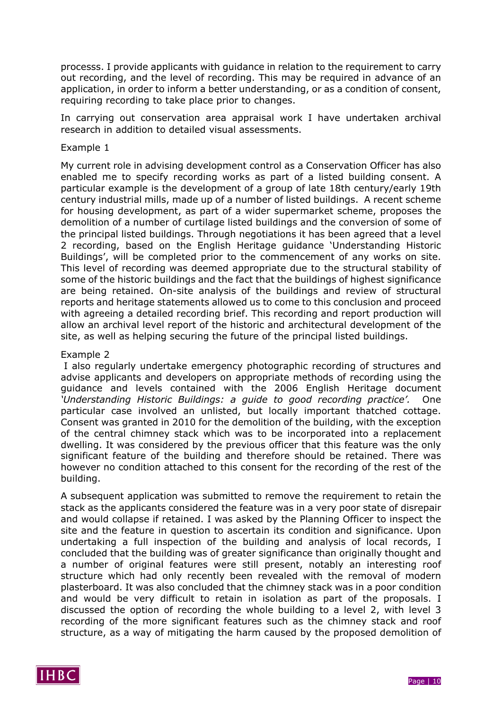processs. I provide applicants with guidance in relation to the requirement to carry out recording, and the level of recording. This may be required in advance of an application, in order to inform a better understanding, or as a condition of consent, requiring recording to take place prior to changes.

In carrying out conservation area appraisal work I have undertaken archival research in addition to detailed visual assessments.

#### Example 1

My current role in advising development control as a Conservation Officer has also enabled me to specify recording works as part of a listed building consent. A particular example is the development of a group of late 18th century/early 19th century industrial mills, made up of a number of listed buildings. A recent scheme for housing development, as part of a wider supermarket scheme, proposes the demolition of a number of curtilage listed buildings and the conversion of some of the principal listed buildings. Through negotiations it has been agreed that a level 2 recording, based on the English Heritage guidance 'Understanding Historic Buildings', will be completed prior to the commencement of any works on site. This level of recording was deemed appropriate due to the structural stability of some of the historic buildings and the fact that the buildings of highest significance are being retained. On-site analysis of the buildings and review of structural reports and heritage statements allowed us to come to this conclusion and proceed with agreeing a detailed recording brief. This recording and report production will allow an archival level report of the historic and architectural development of the site, as well as helping securing the future of the principal listed buildings.

#### Example 2

I also regularly undertake emergency photographic recording of structures and advise applicants and developers on appropriate methods of recording using the guidance and levels contained with the 2006 English Heritage document *'Understanding Historic Buildings: a guide to good recording practice'.* One particular case involved an unlisted, but locally important thatched cottage. Consent was granted in 2010 for the demolition of the building, with the exception of the central chimney stack which was to be incorporated into a replacement dwelling. It was considered by the previous officer that this feature was the only significant feature of the building and therefore should be retained. There was however no condition attached to this consent for the recording of the rest of the building.

A subsequent application was submitted to remove the requirement to retain the stack as the applicants considered the feature was in a very poor state of disrepair and would collapse if retained. I was asked by the Planning Officer to inspect the site and the feature in question to ascertain its condition and significance. Upon undertaking a full inspection of the building and analysis of local records, I concluded that the building was of greater significance than originally thought and a number of original features were still present, notably an interesting roof structure which had only recently been revealed with the removal of modern plasterboard. It was also concluded that the chimney stack was in a poor condition and would be very difficult to retain in isolation as part of the proposals. I discussed the option of recording the whole building to a level 2, with level 3 recording of the more significant features such as the chimney stack and roof structure, as a way of mitigating the harm caused by the proposed demolition of

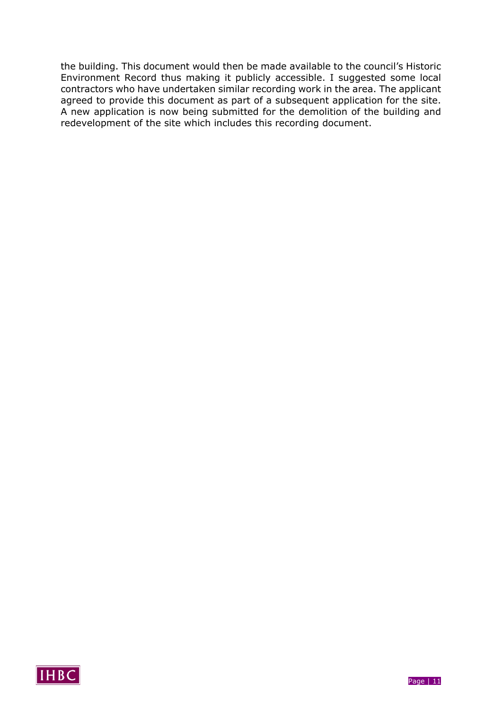the building. This document would then be made available to the council's Historic Environment Record thus making it publicly accessible. I suggested some local contractors who have undertaken similar recording work in the area. The applicant agreed to provide this document as part of a subsequent application for the site. A new application is now being submitted for the demolition of the building and redevelopment of the site which includes this recording document.

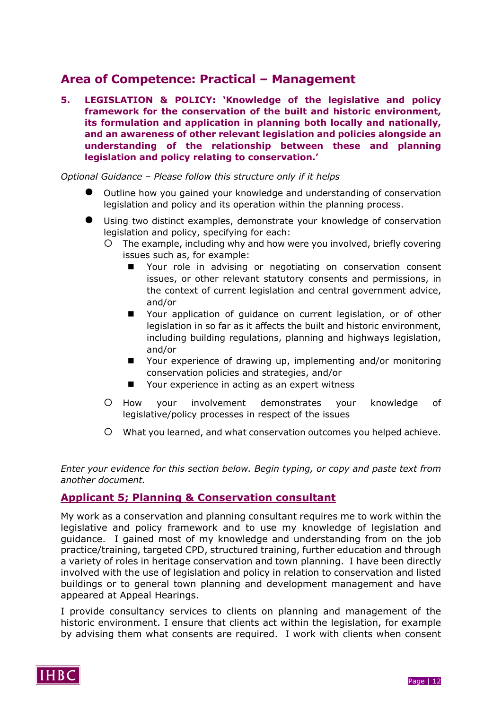## **Area of Competence: Practical – Management**

**5. LEGISLATION & POLICY: 'Knowledge of the legislative and policy framework for the conservation of the built and historic environment, its formulation and application in planning both locally and nationally, and an awareness of other relevant legislation and policies alongside an understanding of the relationship between these and planning legislation and policy relating to conservation.'**

*Optional Guidance – Please follow this structure only if it helps*

- Outline how you gained your knowledge and understanding of conservation legislation and policy and its operation within the planning process.
- Using two distinct examples, demonstrate your knowledge of conservation legislation and policy, specifying for each:
	- The example, including why and how were you involved, briefly covering issues such as, for example:
		- Your role in advising or negotiating on conservation consent issues, or other relevant statutory consents and permissions, in the context of current legislation and central government advice, and/or
		- Your application of guidance on current legislation, or of other legislation in so far as it affects the built and historic environment, including building regulations, planning and highways legislation, and/or
		- Your experience of drawing up, implementing and/or monitoring conservation policies and strategies, and/or
		- Your experience in acting as an expert witness
	- O How your involvement demonstrates your knowledge of legislative/policy processes in respect of the issues
	- What you learned, and what conservation outcomes you helped achieve.

*Enter your evidence for this section below. Begin typing, or copy and paste text from another document.*

## **Applicant 5; Planning & Conservation consultant**

My work as a conservation and planning consultant requires me to work within the legislative and policy framework and to use my knowledge of legislation and guidance. I gained most of my knowledge and understanding from on the job practice/training, targeted CPD, structured training, further education and through a variety of roles in heritage conservation and town planning. I have been directly involved with the use of legislation and policy in relation to conservation and listed buildings or to general town planning and development management and have appeared at Appeal Hearings.

I provide consultancy services to clients on planning and management of the historic environment. I ensure that clients act within the legislation, for example by advising them what consents are required. I work with clients when consent

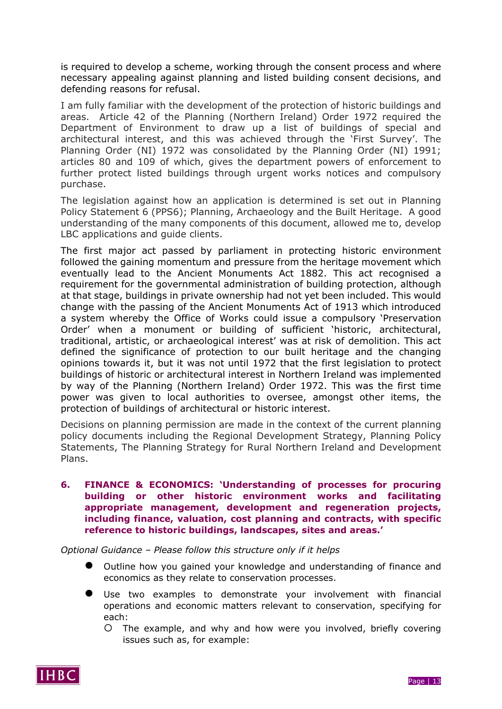is required to develop a scheme, working through the consent process and where necessary appealing against planning and listed building consent decisions, and defending reasons for refusal.

I am fully familiar with the development of the protection of historic buildings and areas. Article 42 of the Planning (Northern Ireland) Order 1972 required the Department of Environment to draw up a list of buildings of special and architectural interest, and this was achieved through the 'First Survey'. The Planning Order (NI) 1972 was consolidated by the Planning Order (NI) 1991; articles 80 and 109 of which, gives the department powers of enforcement to further protect listed buildings through urgent works notices and compulsory purchase.

The legislation against how an application is determined is set out in Planning Policy Statement 6 (PPS6); Planning, Archaeology and the Built Heritage. A good understanding of the many components of this document, allowed me to, develop LBC applications and guide clients.

The first major act passed by parliament in protecting historic environment followed the gaining momentum and pressure from the heritage movement which eventually lead to the Ancient Monuments Act 1882. This act recognised a requirement for the governmental administration of building protection, although at that stage, buildings in private ownership had not yet been included. This would change with the passing of the Ancient Monuments Act of 1913 which introduced a system whereby the Office of Works could issue a compulsory 'Preservation Order' when a monument or building of sufficient 'historic, architectural, traditional, artistic, or archaeological interest' was at risk of demolition. This act defined the significance of protection to our built heritage and the changing opinions towards it, but it was not until 1972 that the first legislation to protect buildings of historic or architectural interest in Northern Ireland was implemented by way of the Planning (Northern Ireland) Order 1972. This was the first time power was given to local authorities to oversee, amongst other items, the protection of buildings of architectural or historic interest.

Decisions on planning permission are made in the context of the current planning policy documents including the Regional Development Strategy, Planning Policy Statements, The Planning Strategy for Rural Northern Ireland and Development Plans.

**6. FINANCE & ECONOMICS: 'Understanding of processes for procuring building or other historic environment works and facilitating appropriate management, development and regeneration projects, including finance, valuation, cost planning and contracts, with specific reference to historic buildings, landscapes, sites and areas.'**

*Optional Guidance – Please follow this structure only if it helps*

- Outline how you gained your knowledge and understanding of finance and economics as they relate to conservation processes.
- Use two examples to demonstrate your involvement with financial operations and economic matters relevant to conservation, specifying for each:
	- The example, and why and how were you involved, briefly covering issues such as, for example:



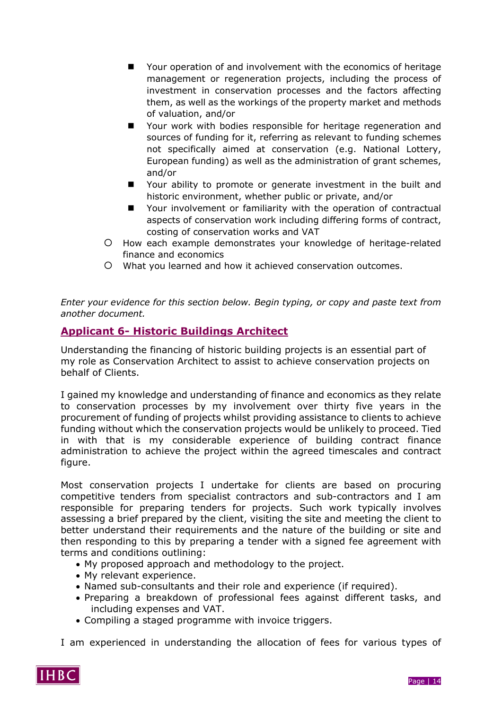- Your operation of and involvement with the economics of heritage management or regeneration projects, including the process of investment in conservation processes and the factors affecting them, as well as the workings of the property market and methods of valuation, and/or
- Your work with bodies responsible for heritage regeneration and sources of funding for it, referring as relevant to funding schemes not specifically aimed at conservation (e.g. National Lottery, European funding) as well as the administration of grant schemes, and/or
- Your ability to promote or generate investment in the built and historic environment, whether public or private, and/or
- Your involvement or familiarity with the operation of contractual aspects of conservation work including differing forms of contract, costing of conservation works and VAT
- How each example demonstrates your knowledge of heritage-related finance and economics
- What you learned and how it achieved conservation outcomes.

*Enter your evidence for this section below. Begin typing, or copy and paste text from another document.*

## **Applicant 6- Historic Buildings Architect**

Understanding the financing of historic building projects is an essential part of my role as Conservation Architect to assist to achieve conservation projects on behalf of Clients.

I gained my knowledge and understanding of finance and economics as they relate to conservation processes by my involvement over thirty five years in the procurement of funding of projects whilst providing assistance to clients to achieve funding without which the conservation projects would be unlikely to proceed. Tied in with that is my considerable experience of building contract finance administration to achieve the project within the agreed timescales and contract figure.

Most conservation projects I undertake for clients are based on procuring competitive tenders from specialist contractors and sub-contractors and I am responsible for preparing tenders for projects. Such work typically involves assessing a brief prepared by the client, visiting the site and meeting the client to better understand their requirements and the nature of the building or site and then responding to this by preparing a tender with a signed fee agreement with terms and conditions outlining:

- My proposed approach and methodology to the project.
- My relevant experience.
- Named sub-consultants and their role and experience (if required).
- Preparing a breakdown of professional fees against different tasks, and including expenses and VAT.
- Compiling a staged programme with invoice triggers.

I am experienced in understanding the allocation of fees for various types of

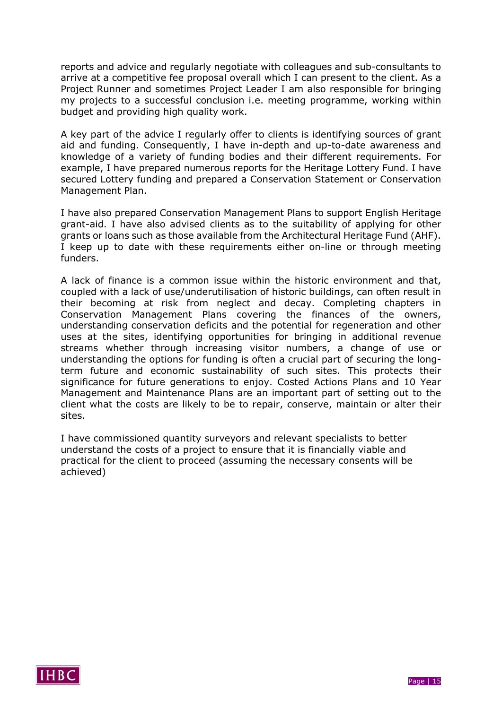reports and advice and regularly negotiate with colleagues and sub-consultants to arrive at a competitive fee proposal overall which I can present to the client. As a Project Runner and sometimes Project Leader I am also responsible for bringing my projects to a successful conclusion i.e. meeting programme, working within budget and providing high quality work.

A key part of the advice I regularly offer to clients is identifying sources of grant aid and funding. Consequently, I have in-depth and up-to-date awareness and knowledge of a variety of funding bodies and their different requirements. For example, I have prepared numerous reports for the Heritage Lottery Fund. I have secured Lottery funding and prepared a Conservation Statement or Conservation Management Plan.

I have also prepared Conservation Management Plans to support English Heritage grant-aid. I have also advised clients as to the suitability of applying for other grants or loans such as those available from the Architectural Heritage Fund (AHF). I keep up to date with these requirements either on-line or through meeting funders.

A lack of finance is a common issue within the historic environment and that, coupled with a lack of use/underutilisation of historic buildings, can often result in their becoming at risk from neglect and decay. Completing chapters in Conservation Management Plans covering the finances of the owners, understanding conservation deficits and the potential for regeneration and other uses at the sites, identifying opportunities for bringing in additional revenue streams whether through increasing visitor numbers, a change of use or understanding the options for funding is often a crucial part of securing the longterm future and economic sustainability of such sites. This protects their significance for future generations to enjoy. Costed Actions Plans and 10 Year Management and Maintenance Plans are an important part of setting out to the client what the costs are likely to be to repair, conserve, maintain or alter their sites.

I have commissioned quantity surveyors and relevant specialists to better understand the costs of a project to ensure that it is financially viable and practical for the client to proceed (assuming the necessary consents will be achieved)

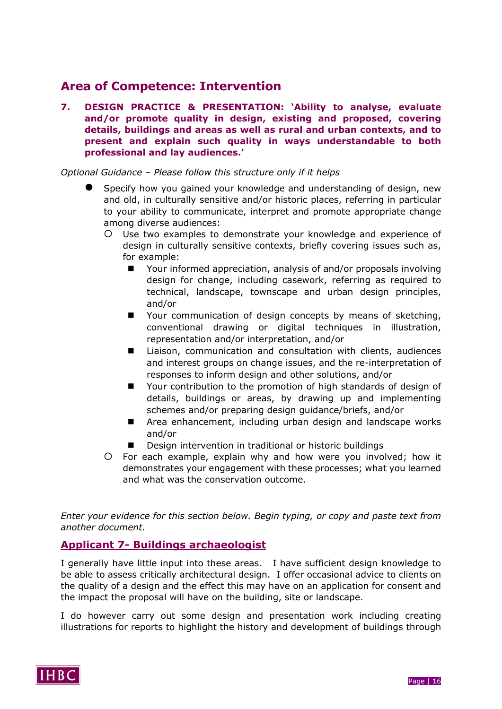## **Area of Competence: Intervention**

**7. DESIGN PRACTICE & PRESENTATION: 'Ability to analyse, evaluate and/or promote quality in design, existing and proposed, covering details, buildings and areas as well as rural and urban contexts, and to present and explain such quality in ways understandable to both professional and lay audiences.'**

*Optional Guidance – Please follow this structure only if it helps*

- Specify how you gained your knowledge and understanding of design, new and old, in culturally sensitive and/or historic places, referring in particular to your ability to communicate, interpret and promote appropriate change among diverse audiences:
	- Use two examples to demonstrate your knowledge and experience of design in culturally sensitive contexts, briefly covering issues such as, for example:
		- Your informed appreciation, analysis of and/or proposals involving design for change, including casework, referring as required to technical, landscape, townscape and urban design principles, and/or
		- Your communication of design concepts by means of sketching, conventional drawing or digital techniques in illustration, representation and/or interpretation, and/or
		- Liaison, communication and consultation with clients, audiences and interest groups on change issues, and the re-interpretation of responses to inform design and other solutions, and/or
		- Your contribution to the promotion of high standards of design of details, buildings or areas, by drawing up and implementing schemes and/or preparing design guidance/briefs, and/or
		- Area enhancement, including urban design and landscape works and/or
		- Design intervention in traditional or historic buildings
	- For each example, explain why and how were you involved; how it demonstrates your engagement with these processes; what you learned and what was the conservation outcome.

*Enter your evidence for this section below. Begin typing, or copy and paste text from another document.*

#### **Applicant 7- Buildings archaeologist**

I generally have little input into these areas. I have sufficient design knowledge to be able to assess critically architectural design. I offer occasional advice to clients on the quality of a design and the effect this may have on an application for consent and the impact the proposal will have on the building, site or landscape.

I do however carry out some design and presentation work including creating illustrations for reports to highlight the history and development of buildings through

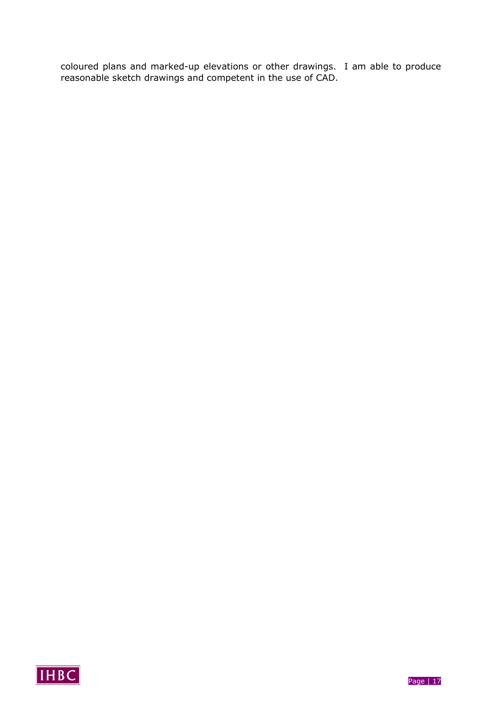coloured plans and marked-up elevations or other drawings. I am able to produce reasonable sketch drawings and competent in the use of CAD.